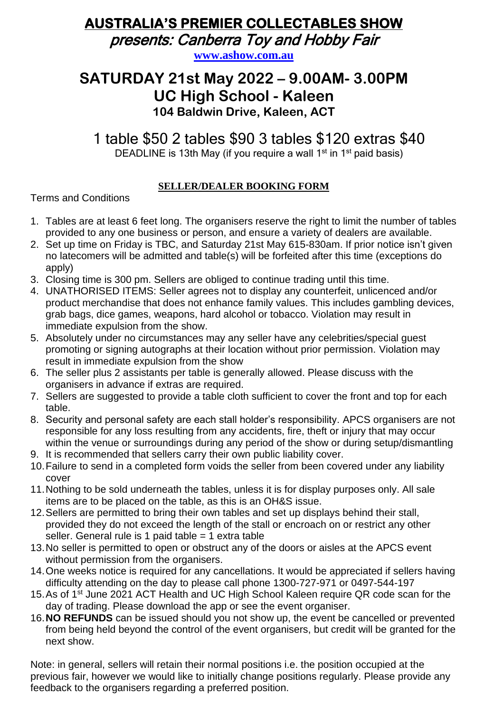# **AUSTRALIA'S PREMIER COLLECTABLES SHOW**

presents: Canberra Toy and Hobby Fair

**[www.ashow.com.au](http://www.ashow.com.au/)**

## **SATURDAY 21st May 2022 – 9.00AM- 3.00PM UC High School - Kaleen 104 Baldwin Drive, Kaleen, ACT**

1 table \$50 2 tables \$90 3 tables \$120 extras \$40 DEADLINE is 13th May (if you require a wall 1<sup>st</sup> in 1<sup>st</sup> paid basis)

**SELLER/DEALER BOOKING FORM**

Terms and Conditions

- 1. Tables are at least 6 feet long. The organisers reserve the right to limit the number of tables provided to any one business or person, and ensure a variety of dealers are available.
- 2. Set up time on Friday is TBC, and Saturday 21st May 615-830am. If prior notice isn't given no latecomers will be admitted and table(s) will be forfeited after this time (exceptions do apply)
- 3. Closing time is 300 pm. Sellers are obliged to continue trading until this time.
- 4. UNATHORISED ITEMS: Seller agrees not to display any counterfeit, unlicenced and/or product merchandise that does not enhance family values. This includes gambling devices, grab bags, dice games, weapons, hard alcohol or tobacco. Violation may result in immediate expulsion from the show.
- 5. Absolutely under no circumstances may any seller have any celebrities/special guest promoting or signing autographs at their location without prior permission. Violation may result in immediate expulsion from the show
- 6. The seller plus 2 assistants per table is generally allowed. Please discuss with the organisers in advance if extras are required.
- 7. Sellers are suggested to provide a table cloth sufficient to cover the front and top for each table.
- 8. Security and personal safety are each stall holder's responsibility. APCS organisers are not responsible for any loss resulting from any accidents, fire, theft or injury that may occur within the venue or surroundings during any period of the show or during setup/dismantling
- 9. It is recommended that sellers carry their own public liability cover.
- 10.Failure to send in a completed form voids the seller from been covered under any liability cover
- 11.Nothing to be sold underneath the tables, unless it is for display purposes only. All sale items are to be placed on the table, as this is an OH&S issue.
- 12.Sellers are permitted to bring their own tables and set up displays behind their stall, provided they do not exceed the length of the stall or encroach on or restrict any other seller. General rule is 1 paid table = 1 extra table
- 13.No seller is permitted to open or obstruct any of the doors or aisles at the APCS event without permission from the organisers.
- 14.One weeks notice is required for any cancellations. It would be appreciated if sellers having difficulty attending on the day to please call phone 1300-727-971 or 0497-544-197
- 15. As of 1<sup>st</sup> June 2021 ACT Health and UC High School Kaleen require QR code scan for the day of trading. Please download the app or see the event organiser.
- 16.**NO REFUNDS** can be issued should you not show up, the event be cancelled or prevented from being held beyond the control of the event organisers, but credit will be granted for the next show.

Note: in general, sellers will retain their normal positions i.e. the position occupied at the previous fair, however we would like to initially change positions regularly. Please provide any feedback to the organisers regarding a preferred position.